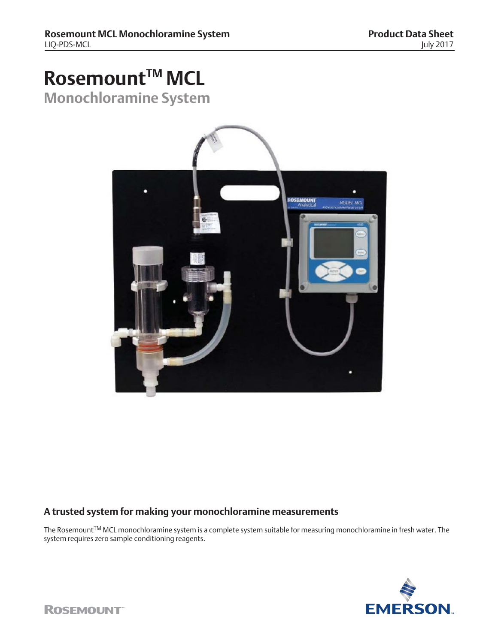# **Rosemount™ MCL**

**Monochloramine System**



### **A trusted system for making your monochloramine measurements**

The RosemountTM MCL monochloramine system is a complete system suitable for measuring monochloramine in fresh water. The system requires zero sample conditioning reagents.

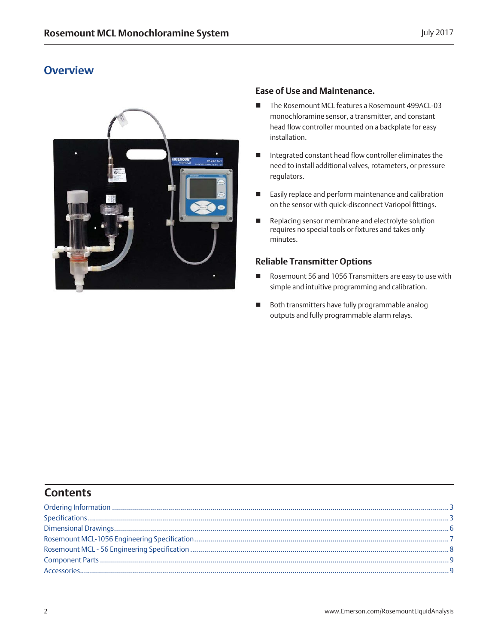### **Overview**



### **Ease of Use and Maintenance.**

- The Rosemount MCL features a Rosemount 499ACL-03 monochloramine sensor, a transmitter, and constant head flow controller mounted on a backplate for easy installation.
- Integrated constant head flow controller eliminates the need to install additional valves, rotameters, or pressure regulators.
- Easily replace and perform maintenance and calibration on the sensor with quick-disconnect Variopol fittings.
- Replacing sensor membrane and electrolyte solution requires no special tools or fixtures and takes only minutes.

### **Reliable Transmitter Options**

- Rosemount 56 and 1056 Transmitters are easy to use with simple and intuitive programming and calibration.
- Both transmitters have fully programmable analog outputs and fully programmable alarm relays.

### **Contents**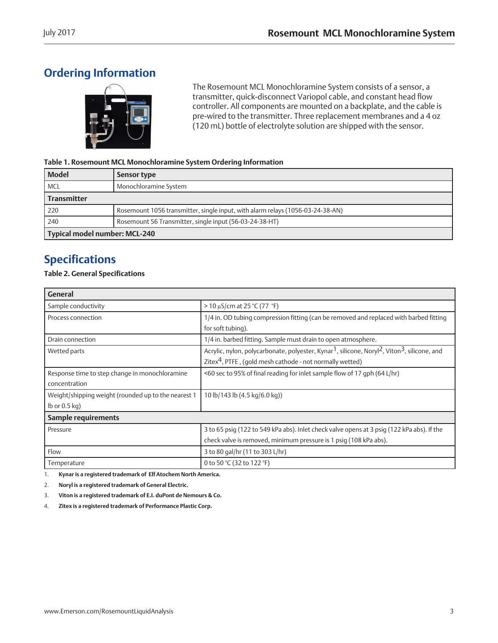# <span id="page-2-0"></span>**Ordering Information**



The Rosemount MCL Monochloramine System consists of a sensor, a transmitter, quick-disconnect Variopol cable, and constant head flow controller. All components are mounted on a backplate, and the cable is pre-wired to the transmitter. Three replacement membranes and a 4 oz (120 mL) bottle of electrolyte solution are shipped with the sensor.

#### **Table 1. Rosemount MCL Monochloramine System Ordering Information**

| <b>Model</b>                  | Sensor type                                                                    |
|-------------------------------|--------------------------------------------------------------------------------|
| <b>MCL</b>                    | Monochloramine System                                                          |
| <b>Transmitter</b>            |                                                                                |
| 220                           | Rosemount 1056 transmitter, single input, with alarm relays (1056-03-24-38-AN) |
| 240                           | Rosemount 56 Transmitter, single input (56-03-24-38-HT)                        |
| Typical model number: MCL-240 |                                                                                |

### **Specifications**

### **Table 2. General Specifications**

| <b>General</b>                                      |                                                                                                                                  |
|-----------------------------------------------------|----------------------------------------------------------------------------------------------------------------------------------|
| Sample conductivity                                 | $>$ 10 $\mu$ S/cm at 25 °C (77 °F)                                                                                               |
| Process connection                                  | 1/4 in. OD tubing compression fitting (can be removed and replaced with barbed fitting                                           |
|                                                     | for soft tubing).                                                                                                                |
| Drain connection                                    | 1/4 in. barbed fitting. Sample must drain to open atmosphere.                                                                    |
| Wetted parts                                        | Acrylic, nylon, polycarbonate, polyester, Kynar <sup>1</sup> , silicone, Noryl <sup>2</sup> , Viton <sup>3</sup> , silicone, and |
|                                                     | Zitex <sup>4</sup> , PTFE, (gold mesh cathode - not normally wetted)                                                             |
| Response time to step change in monochloramine      | <60 sec to 95% of final reading for inlet sample flow of 17 gph (64 L/hr)                                                        |
| concentration                                       |                                                                                                                                  |
| Weight/shipping weight (rounded up to the nearest 1 | 10 lb/143 lb (4.5 kg/6.0 kg))                                                                                                    |
| $lb$ or 0.5 kg)                                     |                                                                                                                                  |
| Sample requirements                                 |                                                                                                                                  |
| Pressure                                            | 3 to 65 psig (122 to 549 kPa abs). Inlet check valve opens at 3 psig (122 kPa abs). If the                                       |
|                                                     | check valve is removed, minimum pressure is 1 psig (108 kPa abs).                                                                |
| Flow                                                | 3 to 80 gal/hr (11 to 303 L/hr)                                                                                                  |
| Temperature                                         | 0 to 50 °C (32 to 122 °F)                                                                                                        |

1. **Kynar is a registered trademark of Elf Atochem North America.**

2. **Noryl is a registered trademark of General Electric.**

3. **Viton is a registered trademark of E.I. duPont de Nemours & Co.**

4. **Zitex is a registered trademark of Performance Plastic Corp.**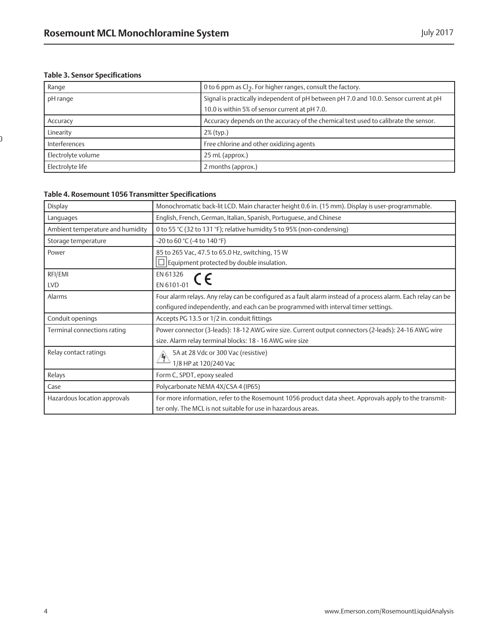### **Table 3. Sensor Specifications**

 $\mathfrak{I}% _{M_{1},M_{2}}^{\alpha,\beta}$ 

| Range              | 0 to 6 ppm as Cl <sub>2</sub> . For higher ranges, consult the factory.               |
|--------------------|---------------------------------------------------------------------------------------|
| pH range           | Signal is practically independent of pH between pH 7.0 and 10.0. Sensor current at pH |
|                    | 10.0 is within 5% of sensor current at pH 7.0.                                        |
| Accuracy           | Accuracy depends on the accuracy of the chemical test used to calibrate the sensor.   |
| Linearity          | 2% (typ.)                                                                             |
| Interferences      | Free chlorine and other oxidizing agents                                              |
| Electrolyte volume | 25 mL (approx.)                                                                       |
| Electrolyte life   | 2 months (approx.)                                                                    |

#### **Table 4. Rosemount 1056 Transmitter Specifications**

| Display                          | Monochromatic back-lit LCD. Main character height 0.6 in. (15 mm). Display is user-programmable.              |
|----------------------------------|---------------------------------------------------------------------------------------------------------------|
| Languages                        | English, French, German, Italian, Spanish, Portuguese, and Chinese                                            |
| Ambient temperature and humidity | 0 to 55 °C (32 to 131 °F); relative humidity 5 to 95% (non-condensing)                                        |
| Storage temperature              | -20 to 60 °C (-4 to 140 °F)                                                                                   |
| Power                            | 85 to 265 Vac, 47.5 to 65.0 Hz, switching, 15 W                                                               |
|                                  | $\square$ Equipment protected by double insulation.                                                           |
| RFI/EMI                          | EN 61326                                                                                                      |
| <b>LVD</b>                       | $\begin{array}{ccc}\n\text{EN 6101-01} & \text{CE}\n\end{array}$                                              |
| Alarms                           | Four alarm relays. Any relay can be configured as a fault alarm instead of a process alarm. Each relay can be |
|                                  | configured independently, and each can be programmed with interval timer settings.                            |
| Conduit openings                 | Accepts PG 13.5 or 1/2 in. conduit fittings                                                                   |
| Terminal connections rating      | Power connector (3-leads): 18-12 AWG wire size. Current output connectors (2-leads): 24-16 AWG wire           |
|                                  | size. Alarm relay terminal blocks: 18 - 16 AWG wire size                                                      |
| Relay contact ratings            | 5A at 28 Vdc or 300 Vac (resistive)                                                                           |
|                                  | 1/8 HP at 120/240 Vac                                                                                         |
| Relays                           | Form C, SPDT, epoxy sealed                                                                                    |
| Case                             | Polycarbonate NEMA 4X/CSA 4 (IP65)                                                                            |
| Hazardous location approvals     | For more information, refer to the Rosemount 1056 product data sheet. Approvals apply to the transmit-        |
|                                  | ter only. The MCL is not suitable for use in hazardous areas.                                                 |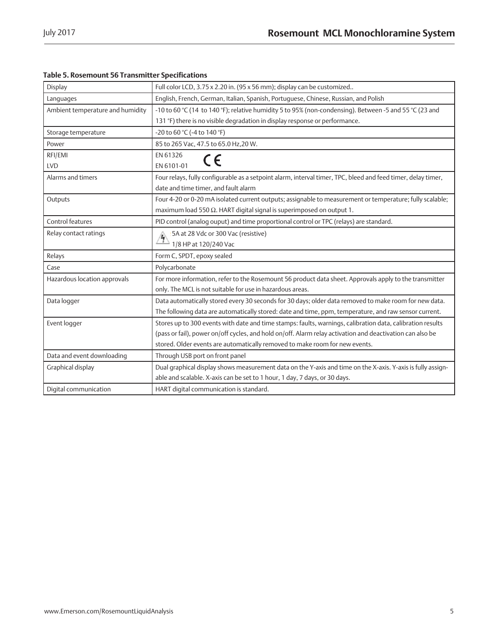| Table 5. Rosemount 56 Transmitter Specifications |
|--------------------------------------------------|
|--------------------------------------------------|

| Display                          | Full color LCD, 3.75 x 2.20 in. (95 x 56 mm); display can be customized                                      |
|----------------------------------|--------------------------------------------------------------------------------------------------------------|
| Languages                        | English, French, German, Italian, Spanish, Portuguese, Chinese, Russian, and Polish                          |
| Ambient temperature and humidity | -10 to 60 °C (14 to 140 °F); relative humidity 5 to 95% (non-condensing). Between -5 and 55 °C (23 and       |
|                                  | 131 °F) there is no visible degradation in display response or performance.                                  |
| Storage temperature              | -20 to 60 °C (-4 to 140 °F)                                                                                  |
| Power                            | 85 to 265 Vac, 47.5 to 65.0 Hz, 20 W.                                                                        |
| RFI/EMI                          | EN 61326<br>$\epsilon$                                                                                       |
| <b>LVD</b>                       | EN 6101-01                                                                                                   |
| Alarms and timers                | Four relays, fully configurable as a setpoint alarm, interval timer, TPC, bleed and feed timer, delay timer, |
|                                  | date and time timer, and fault alarm                                                                         |
| Outputs                          | Four 4-20 or 0-20 mA isolated current outputs; assignable to measurement or temperature; fully scalable;     |
|                                  | maximum load 550 $\Omega$ . HART digital signal is superimposed on output 1.                                 |
| Control features                 | PID control (analog ouput) and time proportional control or TPC (relays) are standard.                       |
| Relay contact ratings            | 5A at 28 Vdc or 300 Vac (resistive)                                                                          |
|                                  | 1/8 HP at 120/240 Vac                                                                                        |
| Relays                           | Form C, SPDT, epoxy sealed                                                                                   |
| Case                             | Polycarbonate                                                                                                |
| Hazardous location approvals     | For more information, refer to the Rosemount 56 product data sheet. Approvals apply to the transmitter       |
|                                  | only. The MCL is not suitable for use in hazardous areas.                                                    |
| Data logger                      | Data automatically stored every 30 seconds for 30 days; older data removed to make room for new data.        |
|                                  | The following data are automatically stored: date and time, ppm, temperature, and raw sensor current.        |
| Event logger                     | Stores up to 300 events with date and time stamps: faults, warnings, calibration data, calibration results   |
|                                  | (pass or fail), power on/off cycles, and hold on/off. Alarm relay activation and deactivation can also be    |
|                                  | stored. Older events are automatically removed to make room for new events.                                  |
| Data and event downloading       | Through USB port on front panel                                                                              |
| Graphical display                | Dual graphical display shows measurement data on the Y-axis and time on the X-axis. Y-axis is fully assign-  |
|                                  | able and scalable. X-axis can be set to 1 hour, 1 day, 7 days, or 30 days.                                   |
| Digital communication            | HART digital communication is standard.                                                                      |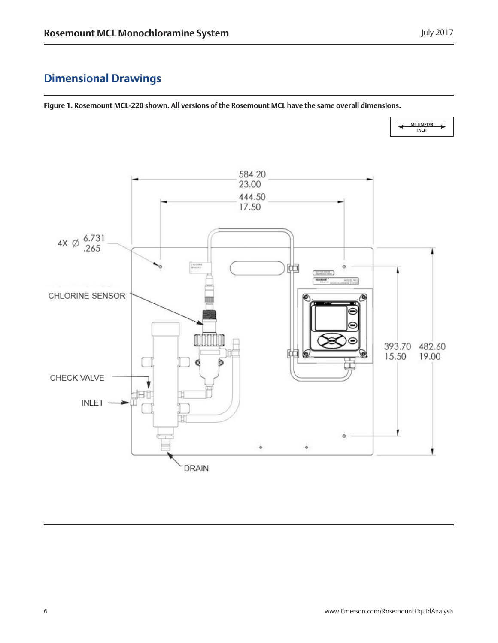# <span id="page-5-0"></span>**Dimensional Drawings**

**Figure 1. Rosemount MCL-220 shown. All versions of the Rosemount MCL have the same overall dimensions.**

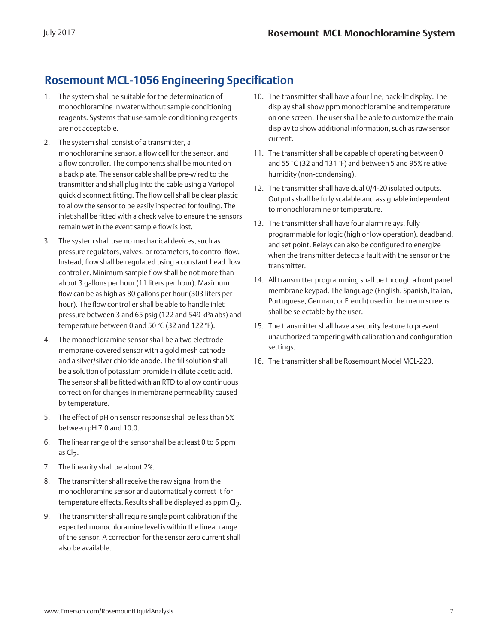# <span id="page-6-0"></span>**Rosemount MCL-1056 Engineering Specification**

- 1. The system shall be suitable for the determination of monochloramine in water without sample conditioning reagents. Systems that use sample conditioning reagents are not acceptable.
- 2. The system shall consist of a transmitter, a monochloramine sensor, a flow cell for the sensor, and a flow controller. The components shall be mounted on a back plate. The sensor cable shall be pre-wired to the transmitter and shall plug into the cable using a Variopol quick disconnect fitting. The flow cell shall be clear plastic to allow the sensor to be easily inspected for fouling. The inlet shall be fitted with a check valve to ensure the sensors remain wet in the event sample flow is lost.
- 3. The system shall use no mechanical devices, such as pressure regulators, valves, or rotameters, to control flow. Instead, flow shall be regulated using a constant head flow controller. Minimum sample flow shall be not more than about 3 gallons per hour (11 liters per hour). Maximum flow can be as high as 80 gallons per hour (303 liters per hour). The flow controller shall be able to handle inlet pressure between 3 and 65 psig (122 and 549 kPa abs) and temperature between 0 and 50 °C (32 and 122 °F).
- 4. The monochloramine sensor shall be a two electrode membrane-covered sensor with a gold mesh cathode and a silver/silver chloride anode. The fill solution shall be a solution of potassium bromide in dilute acetic acid. The sensor shall be fitted with an RTD to allow continuous correction for changes in membrane permeability caused by temperature.
- 5. The effect of pH on sensor response shall be less than 5% between pH 7.0 and 10.0.
- 6. The linear range of the sensor shall be at least 0 to 6 ppm as  $Cl<sub>2</sub>$ .
- 7. The linearity shall be about 2%.
- 8. The transmitter shall receive the raw signal from the monochloramine sensor and automatically correct it for temperature effects. Results shall be displayed as ppm Cl<sub>2</sub>.
- 9. The transmitter shall require single point calibration if the expected monochloramine level is within the linear range of the sensor. A correction for the sensor zero current shall also be available.
- 10. The transmitter shall have a four line, back-lit display. The display shall show ppm monochloramine and temperature on one screen. The user shall be able to customize the main display to show additional information, such as raw sensor current.
- 11. The transmitter shall be capable of operating between 0 and 55 °C (32 and 131 °F) and between 5 and 95% relative humidity (non-condensing).
- 12. The transmitter shall have dual 0/4-20 isolated outputs. Outputs shall be fully scalable and assignable independent to monochloramine or temperature.
- 13. The transmitter shall have four alarm relays, fully programmable for logic (high or low operation), deadband, and set point. Relays can also be configured to energize when the transmitter detects a fault with the sensor or the transmitter.
- 14. All transmitter programming shall be through a front panel membrane keypad. The language (English, Spanish, Italian, Portuguese, German, or French) used in the menu screens shall be selectable by the user.
- 15. The transmitter shall have a security feature to prevent unauthorized tampering with calibration and configuration settings.
- 16. The transmitter shall be Rosemount Model MCL-220.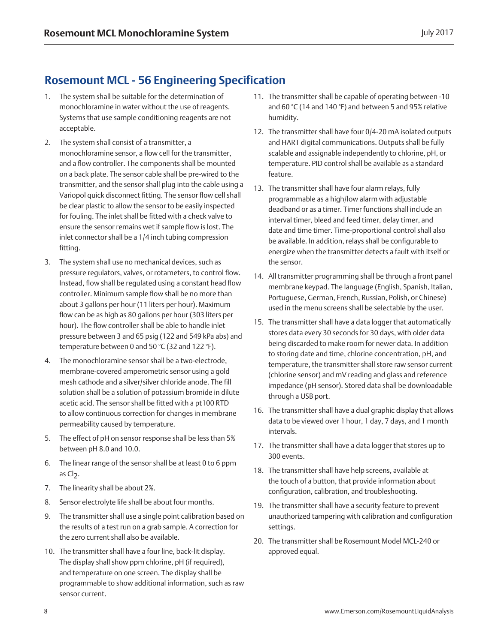### <span id="page-7-0"></span>**Rosemount MCL - 56 Engineering Specification**

- 1. The system shall be suitable for the determination of monochloramine in water without the use of reagents. Systems that use sample conditioning reagents are not acceptable.
- 2. The system shall consist of a transmitter, a monochloramine sensor, a flow cell for the transmitter, and a flow controller. The components shall be mounted on a back plate. The sensor cable shall be pre-wired to the transmitter, and the sensor shall plug into the cable using a Variopol quick disconnect fitting. The sensor flow cell shall be clear plastic to allow the sensor to be easily inspected for fouling. The inlet shall be fitted with a check valve to ensure the sensor remains wet if sample flow is lost. The inlet connector shall be a 1/4 inch tubing compression fitting.
- 3. The system shall use no mechanical devices, such as pressure regulators, valves, or rotameters, to control flow. Instead, flow shall be regulated using a constant head flow controller. Minimum sample flow shall be no more than about 3 gallons per hour (11 liters per hour). Maximum flow can be as high as 80 gallons per hour (303 liters per hour). The flow controller shall be able to handle inlet pressure between 3 and 65 psig (122 and 549 kPa abs) and temperature between 0 and 50 °C (32 and 122 °F).
- 4. The monochloramine sensor shall be a two-electrode, membrane-covered amperometric sensor using a gold mesh cathode and a silver/silver chloride anode. The fill solution shall be a solution of potassium bromide in dilute acetic acid. The sensor shall be fitted with a pt100 RTD to allow continuous correction for changes in membrane permeability caused by temperature.
- 5. The effect of pH on sensor response shall be less than 5% between pH 8.0 and 10.0.
- 6. The linear range of the sensor shall be at least 0 to 6 ppm as  $Cl<sub>2</sub>$ .
- 7. The linearity shall be about 2%.
- 8. Sensor electrolyte life shall be about four months.
- 9. The transmitter shall use a single point calibration based on the results of a test run on a grab sample. A correction for the zero current shall also be available.
- 10. The transmitter shall have a four line, back-lit display. The display shall show ppm chlorine, pH (if required), and temperature on one screen. The display shall be programmable to show additional information, such as raw sensor current.
- 11. The transmitter shall be capable of operating between -10 and 60 °C (14 and 140 °F) and between 5 and 95% relative humidity.
- 12. The transmitter shall have four 0/4-20 mA isolated outputs and HART digital communications. Outputs shall be fully scalable and assignable independently to chlorine, pH, or temperature. PID control shall be available as a standard feature.
- 13. The transmitter shall have four alarm relays, fully programmable as a high/low alarm with adjustable deadband or as a timer. Timer functions shall include an interval timer, bleed and feed timer, delay timer, and date and time timer. Time-proportional control shall also be available. In addition, relays shall be configurable to energize when the transmitter detects a fault with itself or the sensor.
- 14. All transmitter programming shall be through a front panel membrane keypad. The language (English, Spanish, Italian, Portuguese, German, French, Russian, Polish, or Chinese) used in the menu screens shall be selectable by the user.
- 15. The transmitter shall have a data logger that automatically stores data every 30 seconds for 30 days, with older data being discarded to make room for newer data. In addition to storing date and time, chlorine concentration, pH, and temperature, the transmitter shall store raw sensor current (chlorine sensor) and mV reading and glass and reference impedance (pH sensor). Stored data shall be downloadable through a USB port.
- 16. The transmitter shall have a dual graphic display that allows data to be viewed over 1 hour, 1 day, 7 days, and 1 month intervals.
- 17. The transmitter shall have a data logger that stores up to 300 events.
- 18. The transmitter shall have help screens, available at the touch of a button, that provide information about configuration, calibration, and troubleshooting.
- 19. The transmitter shall have a security feature to prevent unauthorized tampering with calibration and configuration settings.
- 20. The transmitter shall be Rosemount Model MCL-240 or approved equal.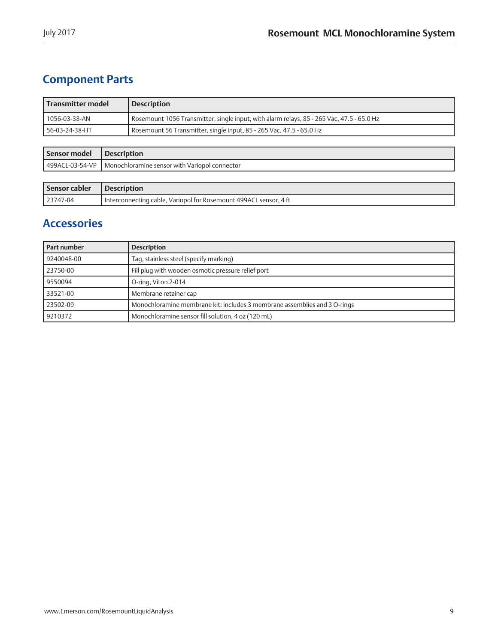# <span id="page-8-0"></span>**Component Parts**

| Transmitter model | <b>Description</b>                                                                        |
|-------------------|-------------------------------------------------------------------------------------------|
| l 1056-03-38-AN   | Rosemount 1056 Transmitter, single input, with alarm relays, 85 - 265 Vac, 47.5 - 65.0 Hz |
| I 56-03-24-38-HT  | Rosemount 56 Transmitter, single input, 85 - 265 Vac, 47.5 - 65.0 Hz                      |

| Sensor model     | ' Description                                   |
|------------------|-------------------------------------------------|
| 1499ACL-03-54-VP | 1 Monochloramine sensor with Variopol connector |

| Sensor cabler | Description                                                         |
|---------------|---------------------------------------------------------------------|
| 23747-04      | I Interconnecting cable, Variopol for Rosemount 499ACL sensor, 4 ft |

### **Accessories**

| Part number | <b>Description</b>                                                        |
|-------------|---------------------------------------------------------------------------|
| 9240048-00  | Tag, stainless steel (specify marking)                                    |
| 23750-00    | Fill plug with wooden osmotic pressure relief port                        |
| 9550094     | O-ring, Viton 2-014                                                       |
| 33521-00    | Membrane retainer cap                                                     |
| 23502-09    | Monochloramine membrane kit: includes 3 membrane assemblies and 3 O-rings |
| 9210372     | Monochloramine sensor fill solution, 4 oz (120 mL)                        |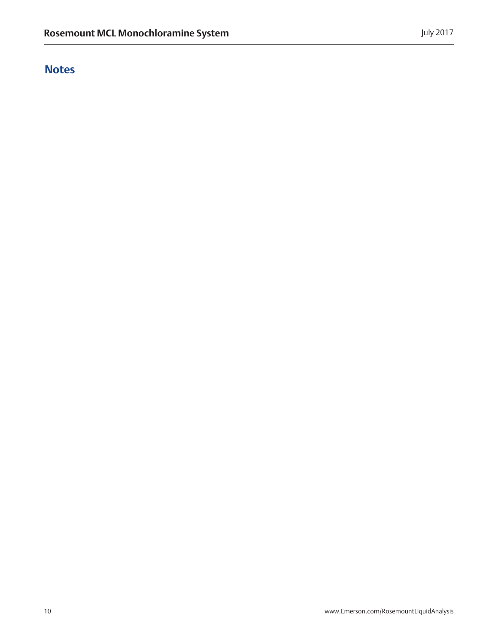# **Notes**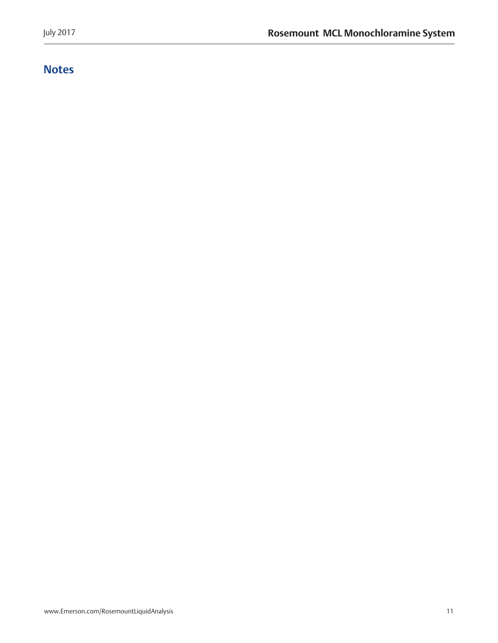# **Notes**